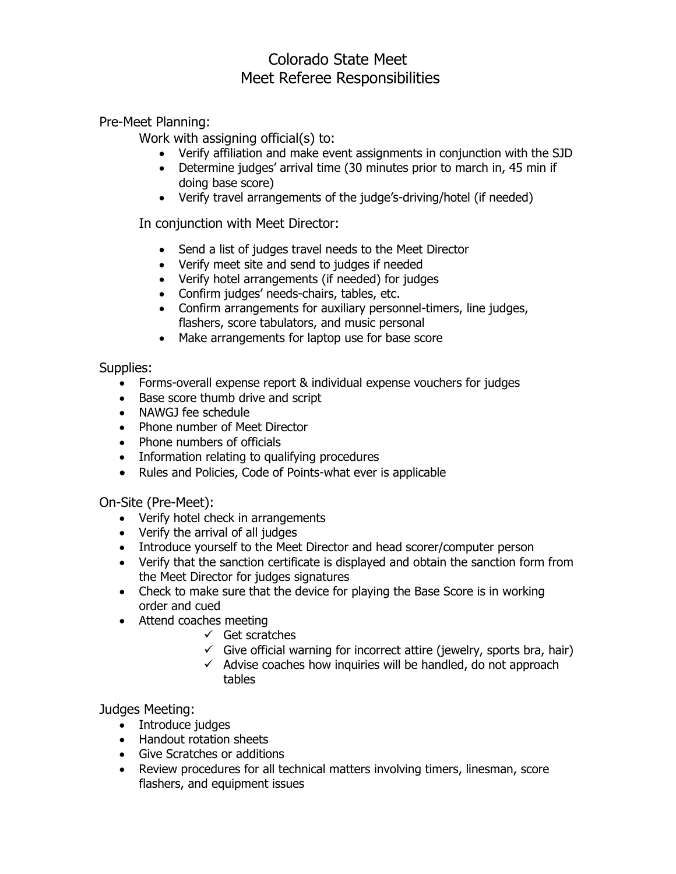## Colorado State Meet Meet Referee Responsibilities

Pre-Meet Planning:

Work with assigning official(s) to:

- Verify affiliation and make event assignments in conjunction with the SJD
- Determine judges' arrival time (30 minutes prior to march in, 45 min if doing base score)
- Verify travel arrangements of the judge's-driving/hotel (if needed)

In conjunction with Meet Director:

- Send a list of judges travel needs to the Meet Director
- Verify meet site and send to judges if needed
- Verify hotel arrangements (if needed) for judges
- Confirm judges' needs-chairs, tables, etc.
- Confirm arrangements for auxiliary personnel-timers, line judges, flashers, score tabulators, and music personal
- Make arrangements for laptop use for base score

Supplies:

- Forms-overall expense report & individual expense vouchers for judges
- Base score thumb drive and script
- NAWGJ fee schedule
- Phone number of Meet Director
- Phone numbers of officials
- Information relating to qualifying procedures
- Rules and Policies, Code of Points-what ever is applicable

On-Site (Pre-Meet):

- Verify hotel check in arrangements
- Verify the arrival of all judges
- Introduce yourself to the Meet Director and head scorer/computer person
- Verify that the sanction certificate is displayed and obtain the sanction form from the Meet Director for judges signatures
- Check to make sure that the device for playing the Base Score is in working order and cued
- Attend coaches meeting
	- $\checkmark$  Get scratches
		- $\checkmark$  Give official warning for incorrect attire (jewelry, sports bra, hair)
		- $\checkmark$  Advise coaches how inquiries will be handled, do not approach tables

Judges Meeting:

- Introduce judges
- Handout rotation sheets
- Give Scratches or additions
- Review procedures for all technical matters involving timers, linesman, score flashers, and equipment issues